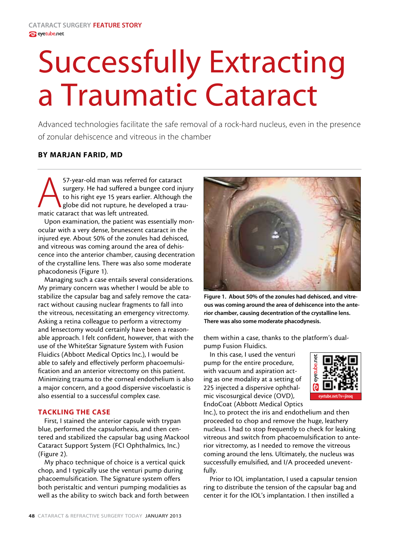# Successfully Extracting a Traumatic Cataract

Advanced technologies facilitate the safe removal of a rock-hard nucleus, even in the presence of zonular dehiscence and vitreous in the chamber

# By Marjan Farid, MD

57-year-old man was referred for cataract<br>surgery. He had suffered a bungee cord inj<br>to his right eye 15 years earlier. Although is<br>globe did not rupture, he developed a trau<br>matic cataract that was left untreated. surgery. He had suffered a bungee cord injury to his right eye 15 years earlier. Although the globe did not rupture, he developed a traumatic cataract that was left untreated.

Upon examination, the patient was essentially monocular with a very dense, brunescent cataract in the injured eye. About 50% of the zonules had dehisced, and vitreous was coming around the area of dehiscence into the anterior chamber, causing decentration of the crystalline lens. There was also some moderate phacodonesis (Figure 1).

Managing such a case entails several considerations. My primary concern was whether I would be able to stabilize the capsular bag and safely remove the cataract without causing nuclear fragments to fall into the vitreous, necessitating an emergency vitrectomy. Asking a retina colleague to perform a vitrectomy and lensectomy would certainly have been a reasonable approach. I felt confident, however, that with the use of the WhiteStar Signature System with Fusion Fluidics (Abbott Medical Optics Inc.), I would be able to safely and effectively perform phacoemulsification and an anterior vitrectomy on this patient. Minimizing trauma to the corneal endothelium is also a major concern, and a good dispersive viscoelastic is also essential to a successful complex case.

# Tackling the case

First, I stained the anterior capsule with trypan blue, performed the capsulorhexis, and then centered and stabilized the capsular bag using Mackool Cataract Support System (FCI Ophthalmics, Inc.) (Figure 2).

My phaco technique of choice is a vertical quick chop, and I typically use the venturi pump during phacoemulsification. The Signature system offers both peristaltic and venturi pumping modalities as well as the ability to switch back and forth between



Figure 1. About 50% of the zonules had dehisced, and vitreous was coming around the area of dehiscence into the anterior chamber, causing decentration of the crystalline lens. There was also some moderate phacodynesis.

them within a case, thanks to the platform's dualpump Fusion Fluidics.

In this case, I used the venturi pump for the entire procedure, with vacuum and aspiration acting as one modality at a setting of 225 injected a dispersive ophthalmic viscosurgical device (OVD), EndoCoat (Abbott Medical Optics



Inc.), to protect the iris and endothelium and then proceeded to chop and remove the huge, leathery nucleus. I had to stop frequently to check for leaking vitreous and switch from phacoemulsification to anterior vitrectomy, as I needed to remove the vitreous coming around the lens. Ultimately, the nucleus was successfully emulsified, and I/A proceeded uneventfully.

Prior to IOL implantation, I used a capsular tension ring to distribute the tension of the capsular bag and center it for the IOL's implantation. I then instilled a